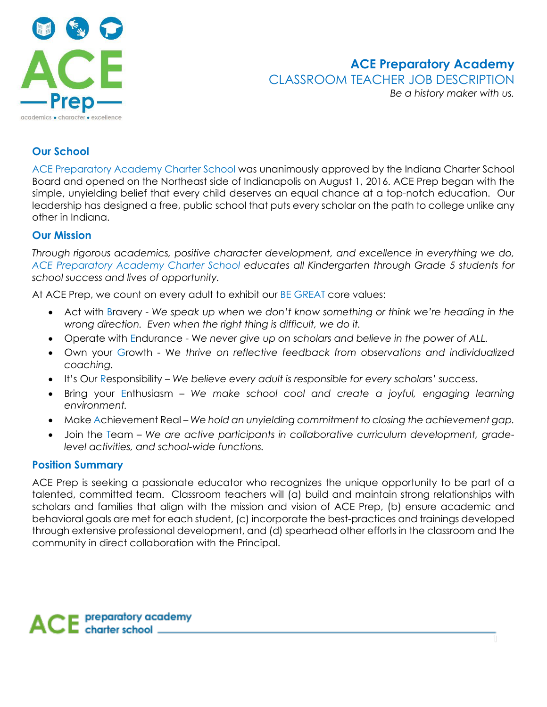

# **ACE Preparatory Academy** CLASSROOM TEACHER JOB DESCRIPTION

*Be a history maker with us.*

## **Our School**

ACE Preparatory Academy Charter School was unanimously approved by the Indiana Charter School Board and opened on the Northeast side of Indianapolis on August 1, 2016. ACE Prep began with the simple, unyielding belief that every child deserves an equal chance at a top-notch education. Our leadership has designed a free, public school that puts every scholar on the path to college unlike any other in Indiana.

## **Our Mission**

*Through rigorous academics, positive character development, and excellence in everything we do, ACE Preparatory Academy Charter School educates all Kindergarten through Grade 5 students for school success and lives of opportunity.*

At ACE Prep, we count on every adult to exhibit our BE GREAT core values:

- Act with Bravery *We speak up when we don't know something or think we're heading in the wrong direction. Even when the right thing is difficult, we do it.*
- Operate with Endurance W*e never give up on scholars and believe in the power of ALL.*
- Own your Growth W*e thrive on reflective feedback from observations and individualized coaching.*
- It's Our Responsibility *We believe every adult is responsible for every scholars' success*.
- Bring your Enthusiasm *We make school cool and create a joyful, engaging learning environment.*
- Make Achievement Real *We hold an unyielding commitment to closing the achievement gap.*
- Join the Team *We are active participants in collaborative curriculum development, gradelevel activities, and school-wide functions.*

## **Position Summary**

ACE Prep is seeking a passionate educator who recognizes the unique opportunity to be part of a talented, committed team. Classroom teachers will (a) build and maintain strong relationships with scholars and families that align with the mission and vision of ACE Prep, (b) ensure academic and behavioral goals are met for each student, (c) incorporate the best-practices and trainings developed through extensive professional development, and (d) spearhead other efforts in the classroom and the community in direct collaboration with the Principal.